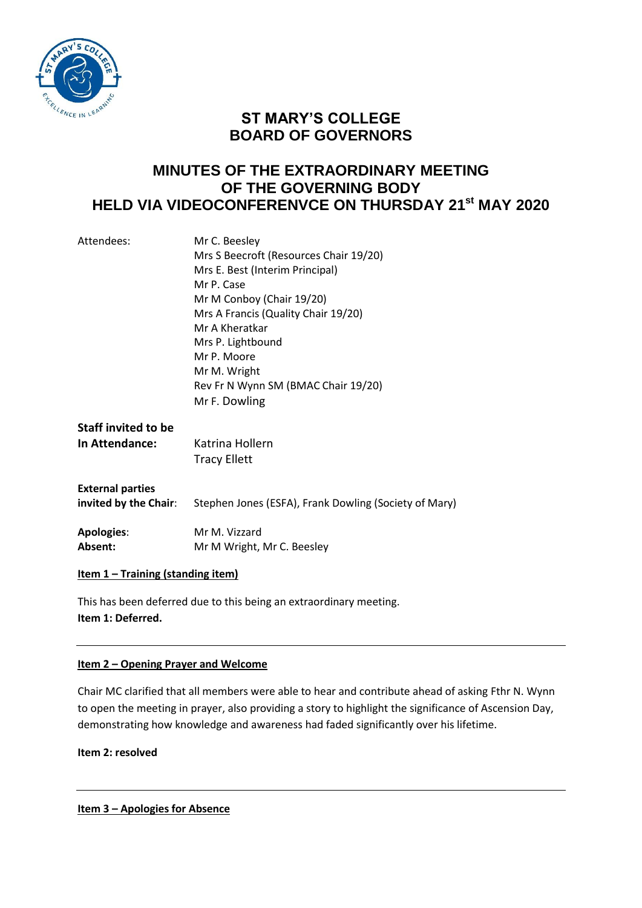

# **ST MARY'S COLLEGE BOARD OF GOVERNORS**

# **MINUTES OF THE EXTRAORDINARY MEETING OF THE GOVERNING BODY HELD VIA VIDEOCONFERENVCE ON THURSDAY 21st MAY 2020**

| Attendees:                 | Mr C. Beesley                                         |
|----------------------------|-------------------------------------------------------|
|                            | Mrs S Beecroft (Resources Chair 19/20)                |
|                            | Mrs E. Best (Interim Principal)                       |
|                            | Mr P. Case                                            |
|                            | Mr M Conboy (Chair 19/20)                             |
|                            | Mrs A Francis (Quality Chair 19/20)                   |
|                            | Mr A Kheratkar                                        |
|                            | Mrs P. Lightbound                                     |
|                            | Mr P. Moore                                           |
|                            | Mr M. Wright                                          |
|                            | Rev Fr N Wynn SM (BMAC Chair 19/20)                   |
|                            | Mr F. Dowling                                         |
| <b>Staff invited to be</b> |                                                       |
| In Attendance:             | Katrina Hollern                                       |
|                            | <b>Tracy Ellett</b>                                   |
|                            |                                                       |
| <b>External parties</b>    |                                                       |
| invited by the Chair:      | Stephen Jones (ESFA), Frank Dowling (Society of Mary) |
|                            |                                                       |
| <b>Apologies:</b>          | Mr M. Vizzard                                         |
| Absent:                    | Mr M Wright, Mr C. Beesley                            |
|                            |                                                       |
|                            |                                                       |

**Item 1 – Training (standing item)**

This has been deferred due to this being an extraordinary meeting. **Item 1: Deferred.**

## **Item 2 – Opening Prayer and Welcome**

Chair MC clarified that all members were able to hear and contribute ahead of asking Fthr N. Wynn to open the meeting in prayer, also providing a story to highlight the significance of Ascension Day, demonstrating how knowledge and awareness had faded significantly over his lifetime.

**Item 2: resolved**

**Item 3 – Apologies for Absence**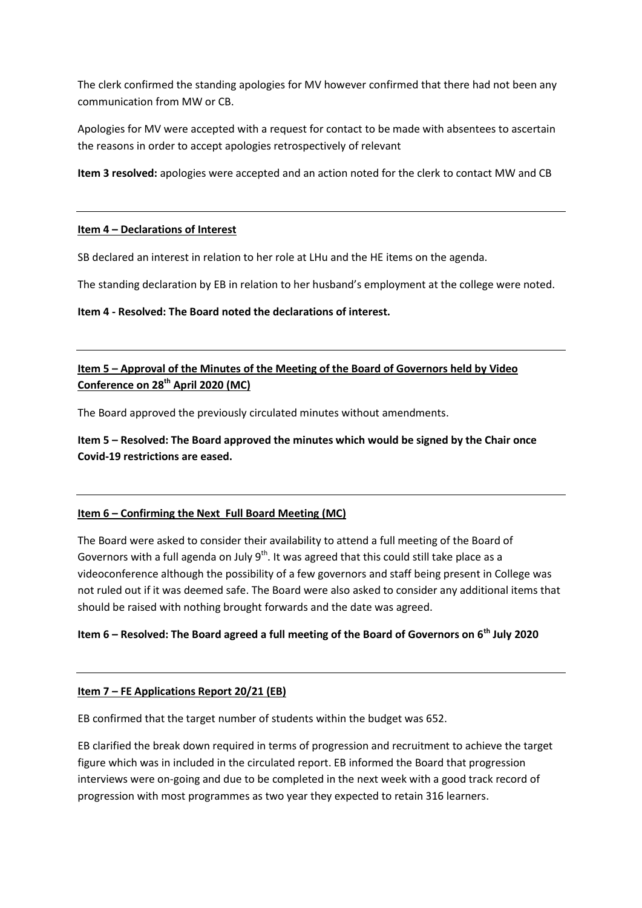The clerk confirmed the standing apologies for MV however confirmed that there had not been any communication from MW or CB.

Apologies for MV were accepted with a request for contact to be made with absentees to ascertain the reasons in order to accept apologies retrospectively of relevant

**Item 3 resolved:** apologies were accepted and an action noted for the clerk to contact MW and CB

#### **Item 4 – Declarations of Interest**

SB declared an interest in relation to her role at LHu and the HE items on the agenda.

The standing declaration by EB in relation to her husband's employment at the college were noted.

#### **Item 4 - Resolved: The Board noted the declarations of interest.**

## **Item 5 – Approval of the Minutes of the Meeting of the Board of Governors held by Video Conference on 28th April 2020 (MC)**

The Board approved the previously circulated minutes without amendments.

**Item 5 – Resolved: The Board approved the minutes which would be signed by the Chair once Covid-19 restrictions are eased.**

## **Item 6 – Confirming the Next Full Board Meeting (MC)**

The Board were asked to consider their availability to attend a full meeting of the Board of Governors with a full agenda on July  $9^{th}$ . It was agreed that this could still take place as a videoconference although the possibility of a few governors and staff being present in College was not ruled out if it was deemed safe. The Board were also asked to consider any additional items that should be raised with nothing brought forwards and the date was agreed.

## **Item 6 – Resolved: The Board agreed a full meeting of the Board of Governors on 6th July 2020**

#### **Item 7 – FE Applications Report 20/21 (EB)**

EB confirmed that the target number of students within the budget was 652.

EB clarified the break down required in terms of progression and recruitment to achieve the target figure which was in included in the circulated report. EB informed the Board that progression interviews were on-going and due to be completed in the next week with a good track record of progression with most programmes as two year they expected to retain 316 learners.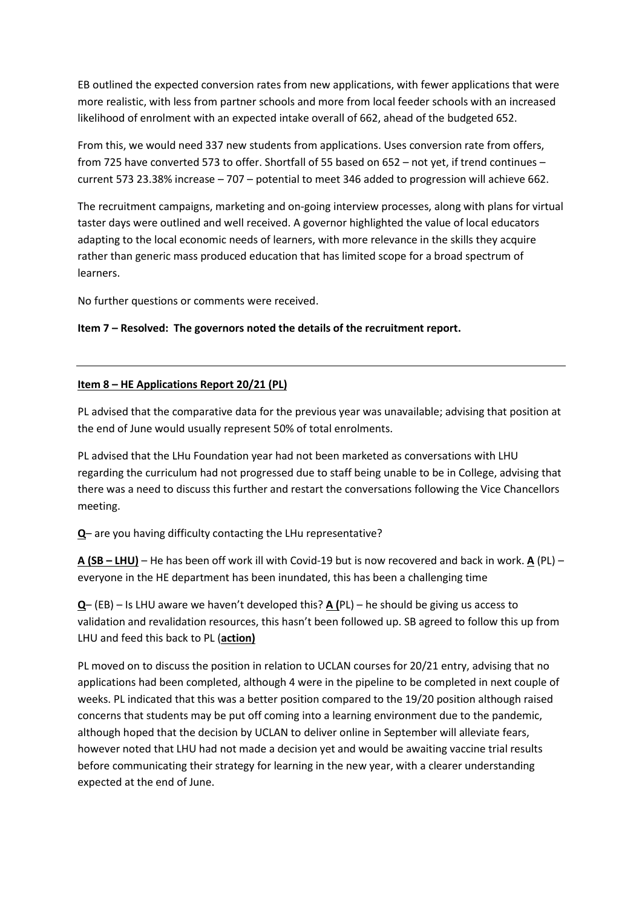EB outlined the expected conversion rates from new applications, with fewer applications that were more realistic, with less from partner schools and more from local feeder schools with an increased likelihood of enrolment with an expected intake overall of 662, ahead of the budgeted 652.

From this, we would need 337 new students from applications. Uses conversion rate from offers, from 725 have converted 573 to offer. Shortfall of 55 based on 652 – not yet, if trend continues – current 573 23.38% increase – 707 – potential to meet 346 added to progression will achieve 662.

The recruitment campaigns, marketing and on-going interview processes, along with plans for virtual taster days were outlined and well received. A governor highlighted the value of local educators adapting to the local economic needs of learners, with more relevance in the skills they acquire rather than generic mass produced education that has limited scope for a broad spectrum of learners.

No further questions or comments were received.

#### **Item 7 – Resolved: The governors noted the details of the recruitment report.**

#### **Item 8 – HE Applications Report 20/21 (PL)**

PL advised that the comparative data for the previous year was unavailable; advising that position at the end of June would usually represent 50% of total enrolments.

PL advised that the LHu Foundation year had not been marketed as conversations with LHU regarding the curriculum had not progressed due to staff being unable to be in College, advising that there was a need to discuss this further and restart the conversations following the Vice Chancellors meeting.

**Q**– are you having difficulty contacting the LHu representative?

**A (SB – LHU)** – He has been off work ill with Covid-19 but is now recovered and back in work. **A** (PL) – everyone in the HE department has been inundated, this has been a challenging time

**Q**– (EB) – Is LHU aware we haven't developed this? **A (**PL) – he should be giving us access to validation and revalidation resources, this hasn't been followed up. SB agreed to follow this up from LHU and feed this back to PL (**action)**

PL moved on to discuss the position in relation to UCLAN courses for 20/21 entry, advising that no applications had been completed, although 4 were in the pipeline to be completed in next couple of weeks. PL indicated that this was a better position compared to the 19/20 position although raised concerns that students may be put off coming into a learning environment due to the pandemic, although hoped that the decision by UCLAN to deliver online in September will alleviate fears, however noted that LHU had not made a decision yet and would be awaiting vaccine trial results before communicating their strategy for learning in the new year, with a clearer understanding expected at the end of June.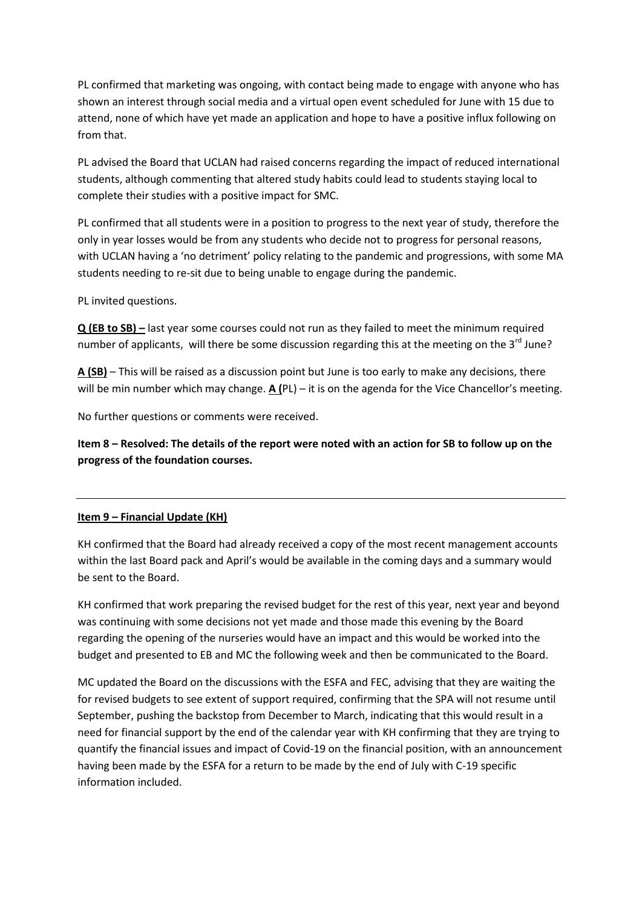PL confirmed that marketing was ongoing, with contact being made to engage with anyone who has shown an interest through social media and a virtual open event scheduled for June with 15 due to attend, none of which have yet made an application and hope to have a positive influx following on from that.

PL advised the Board that UCLAN had raised concerns regarding the impact of reduced international students, although commenting that altered study habits could lead to students staying local to complete their studies with a positive impact for SMC.

PL confirmed that all students were in a position to progress to the next year of study, therefore the only in year losses would be from any students who decide not to progress for personal reasons, with UCLAN having a 'no detriment' policy relating to the pandemic and progressions, with some MA students needing to re-sit due to being unable to engage during the pandemic.

PL invited questions.

**Q (EB to SB) –** last year some courses could not run as they failed to meet the minimum required number of applicants, will there be some discussion regarding this at the meeting on the  $3^{rd}$  June?

**A (SB)** – This will be raised as a discussion point but June is too early to make any decisions, there will be min number which may change. **A (**PL) – it is on the agenda for the Vice Chancellor's meeting.

No further questions or comments were received.

**Item 8 – Resolved: The details of the report were noted with an action for SB to follow up on the progress of the foundation courses.**

#### **Item 9 – Financial Update (KH)**

KH confirmed that the Board had already received a copy of the most recent management accounts within the last Board pack and April's would be available in the coming days and a summary would be sent to the Board.

KH confirmed that work preparing the revised budget for the rest of this year, next year and beyond was continuing with some decisions not yet made and those made this evening by the Board regarding the opening of the nurseries would have an impact and this would be worked into the budget and presented to EB and MC the following week and then be communicated to the Board.

MC updated the Board on the discussions with the ESFA and FEC, advising that they are waiting the for revised budgets to see extent of support required, confirming that the SPA will not resume until September, pushing the backstop from December to March, indicating that this would result in a need for financial support by the end of the calendar year with KH confirming that they are trying to quantify the financial issues and impact of Covid-19 on the financial position, with an announcement having been made by the ESFA for a return to be made by the end of July with C-19 specific information included.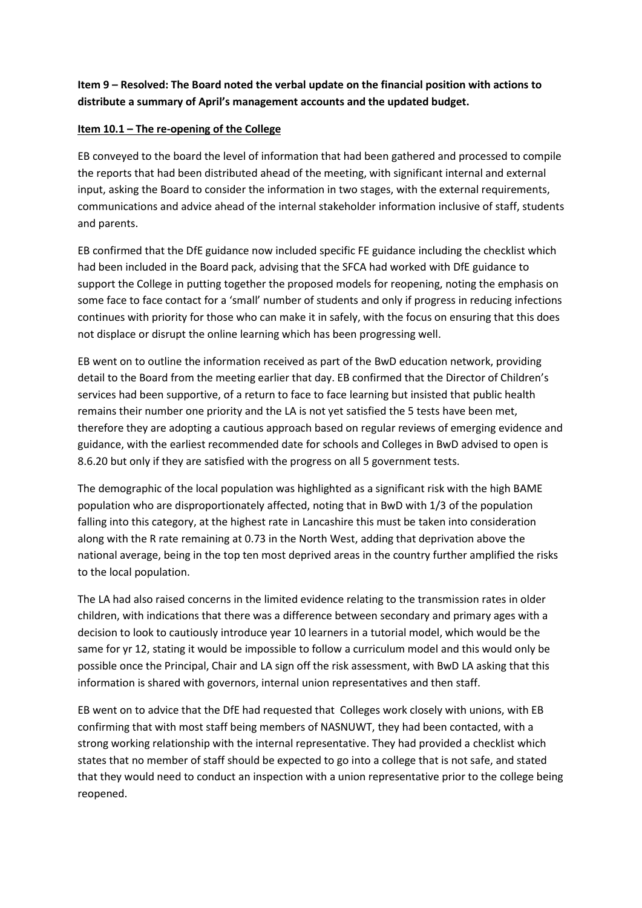## **Item 9 – Resolved: The Board noted the verbal update on the financial position with actions to distribute a summary of April's management accounts and the updated budget.**

## **Item 10.1 – The re-opening of the College**

EB conveyed to the board the level of information that had been gathered and processed to compile the reports that had been distributed ahead of the meeting, with significant internal and external input, asking the Board to consider the information in two stages, with the external requirements, communications and advice ahead of the internal stakeholder information inclusive of staff, students and parents.

EB confirmed that the DfE guidance now included specific FE guidance including the checklist which had been included in the Board pack, advising that the SFCA had worked with DfE guidance to support the College in putting together the proposed models for reopening, noting the emphasis on some face to face contact for a 'small' number of students and only if progress in reducing infections continues with priority for those who can make it in safely, with the focus on ensuring that this does not displace or disrupt the online learning which has been progressing well.

EB went on to outline the information received as part of the BwD education network, providing detail to the Board from the meeting earlier that day. EB confirmed that the Director of Children's services had been supportive, of a return to face to face learning but insisted that public health remains their number one priority and the LA is not yet satisfied the 5 tests have been met, therefore they are adopting a cautious approach based on regular reviews of emerging evidence and guidance, with the earliest recommended date for schools and Colleges in BwD advised to open is 8.6.20 but only if they are satisfied with the progress on all 5 government tests.

The demographic of the local population was highlighted as a significant risk with the high BAME population who are disproportionately affected, noting that in BwD with 1/3 of the population falling into this category, at the highest rate in Lancashire this must be taken into consideration along with the R rate remaining at 0.73 in the North West, adding that deprivation above the national average, being in the top ten most deprived areas in the country further amplified the risks to the local population.

The LA had also raised concerns in the limited evidence relating to the transmission rates in older children, with indications that there was a difference between secondary and primary ages with a decision to look to cautiously introduce year 10 learners in a tutorial model, which would be the same for yr 12, stating it would be impossible to follow a curriculum model and this would only be possible once the Principal, Chair and LA sign off the risk assessment, with BwD LA asking that this information is shared with governors, internal union representatives and then staff.

EB went on to advice that the DfE had requested that Colleges work closely with unions, with EB confirming that with most staff being members of NASNUWT, they had been contacted, with a strong working relationship with the internal representative. They had provided a checklist which states that no member of staff should be expected to go into a college that is not safe, and stated that they would need to conduct an inspection with a union representative prior to the college being reopened.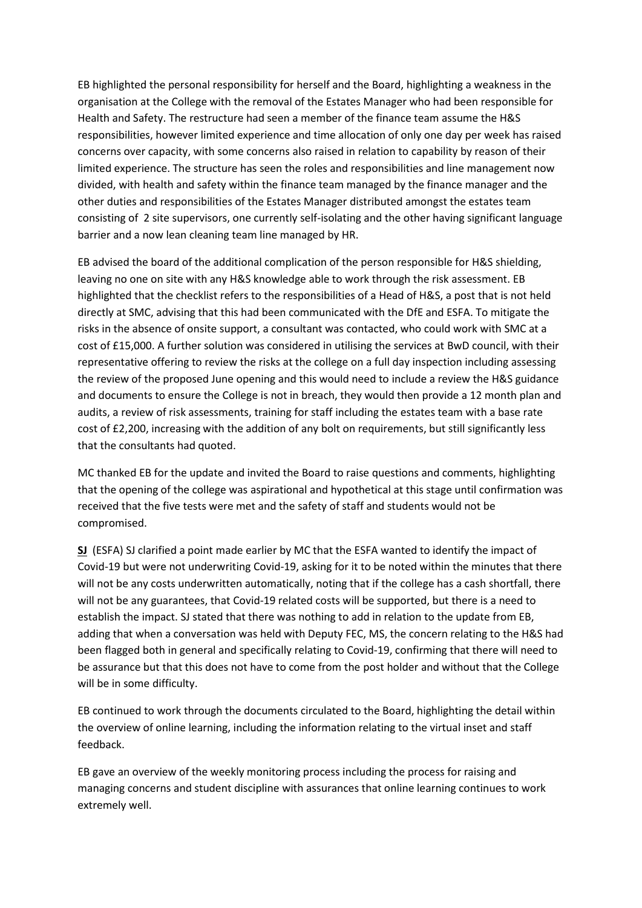EB highlighted the personal responsibility for herself and the Board, highlighting a weakness in the organisation at the College with the removal of the Estates Manager who had been responsible for Health and Safety. The restructure had seen a member of the finance team assume the H&S responsibilities, however limited experience and time allocation of only one day per week has raised concerns over capacity, with some concerns also raised in relation to capability by reason of their limited experience. The structure has seen the roles and responsibilities and line management now divided, with health and safety within the finance team managed by the finance manager and the other duties and responsibilities of the Estates Manager distributed amongst the estates team consisting of 2 site supervisors, one currently self-isolating and the other having significant language barrier and a now lean cleaning team line managed by HR.

EB advised the board of the additional complication of the person responsible for H&S shielding, leaving no one on site with any H&S knowledge able to work through the risk assessment. EB highlighted that the checklist refers to the responsibilities of a Head of H&S, a post that is not held directly at SMC, advising that this had been communicated with the DfE and ESFA. To mitigate the risks in the absence of onsite support, a consultant was contacted, who could work with SMC at a cost of £15,000. A further solution was considered in utilising the services at BwD council, with their representative offering to review the risks at the college on a full day inspection including assessing the review of the proposed June opening and this would need to include a review the H&S guidance and documents to ensure the College is not in breach, they would then provide a 12 month plan and audits, a review of risk assessments, training for staff including the estates team with a base rate cost of £2,200, increasing with the addition of any bolt on requirements, but still significantly less that the consultants had quoted.

MC thanked EB for the update and invited the Board to raise questions and comments, highlighting that the opening of the college was aspirational and hypothetical at this stage until confirmation was received that the five tests were met and the safety of staff and students would not be compromised.

**SJ** (ESFA) SJ clarified a point made earlier by MC that the ESFA wanted to identify the impact of Covid-19 but were not underwriting Covid-19, asking for it to be noted within the minutes that there will not be any costs underwritten automatically, noting that if the college has a cash shortfall, there will not be any guarantees, that Covid-19 related costs will be supported, but there is a need to establish the impact. SJ stated that there was nothing to add in relation to the update from EB, adding that when a conversation was held with Deputy FEC, MS, the concern relating to the H&S had been flagged both in general and specifically relating to Covid-19, confirming that there will need to be assurance but that this does not have to come from the post holder and without that the College will be in some difficulty.

EB continued to work through the documents circulated to the Board, highlighting the detail within the overview of online learning, including the information relating to the virtual inset and staff feedback.

EB gave an overview of the weekly monitoring process including the process for raising and managing concerns and student discipline with assurances that online learning continues to work extremely well.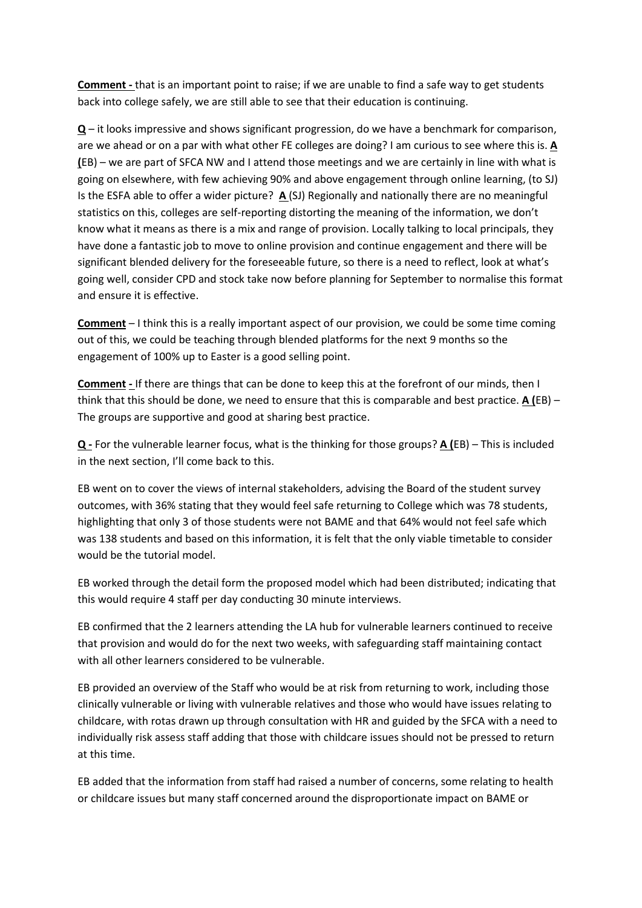**Comment -** that is an important point to raise; if we are unable to find a safe way to get students back into college safely, we are still able to see that their education is continuing.

**Q** – it looks impressive and shows significant progression, do we have a benchmark for comparison, are we ahead or on a par with what other FE colleges are doing? I am curious to see where this is. **A (**EB) – we are part of SFCA NW and I attend those meetings and we are certainly in line with what is going on elsewhere, with few achieving 90% and above engagement through online learning, (to SJ) Is the ESFA able to offer a wider picture? **A** (SJ) Regionally and nationally there are no meaningful statistics on this, colleges are self-reporting distorting the meaning of the information, we don't know what it means as there is a mix and range of provision. Locally talking to local principals, they have done a fantastic job to move to online provision and continue engagement and there will be significant blended delivery for the foreseeable future, so there is a need to reflect, look at what's going well, consider CPD and stock take now before planning for September to normalise this format and ensure it is effective.

**Comment** – I think this is a really important aspect of our provision, we could be some time coming out of this, we could be teaching through blended platforms for the next 9 months so the engagement of 100% up to Easter is a good selling point.

**Comment -** If there are things that can be done to keep this at the forefront of our minds, then I think that this should be done, we need to ensure that this is comparable and best practice. **A (**EB) – The groups are supportive and good at sharing best practice.

**Q -** For the vulnerable learner focus, what is the thinking for those groups? **A (**EB) – This is included in the next section, I'll come back to this.

EB went on to cover the views of internal stakeholders, advising the Board of the student survey outcomes, with 36% stating that they would feel safe returning to College which was 78 students, highlighting that only 3 of those students were not BAME and that 64% would not feel safe which was 138 students and based on this information, it is felt that the only viable timetable to consider would be the tutorial model.

EB worked through the detail form the proposed model which had been distributed; indicating that this would require 4 staff per day conducting 30 minute interviews.

EB confirmed that the 2 learners attending the LA hub for vulnerable learners continued to receive that provision and would do for the next two weeks, with safeguarding staff maintaining contact with all other learners considered to be vulnerable.

EB provided an overview of the Staff who would be at risk from returning to work, including those clinically vulnerable or living with vulnerable relatives and those who would have issues relating to childcare, with rotas drawn up through consultation with HR and guided by the SFCA with a need to individually risk assess staff adding that those with childcare issues should not be pressed to return at this time.

EB added that the information from staff had raised a number of concerns, some relating to health or childcare issues but many staff concerned around the disproportionate impact on BAME or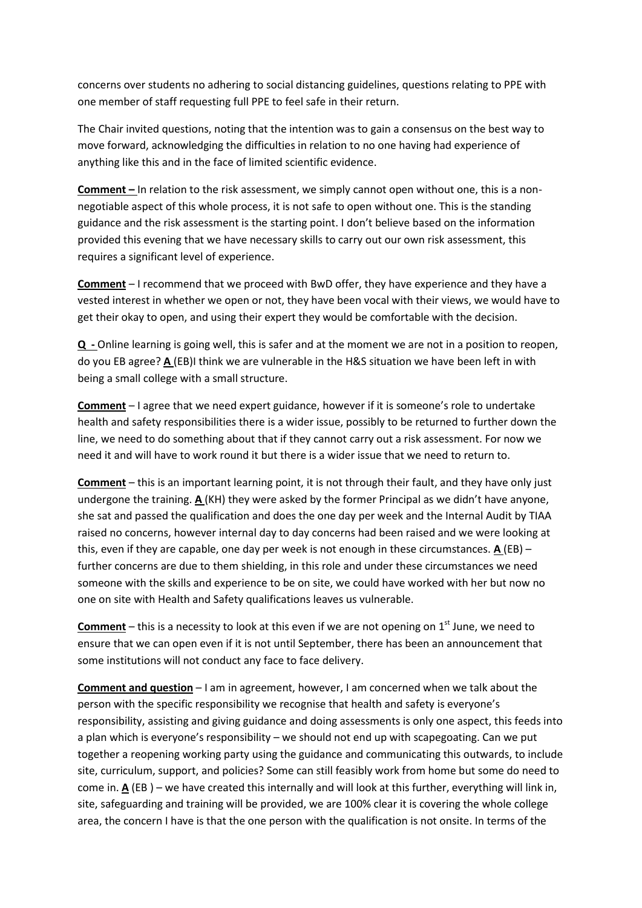concerns over students no adhering to social distancing guidelines, questions relating to PPE with one member of staff requesting full PPE to feel safe in their return.

The Chair invited questions, noting that the intention was to gain a consensus on the best way to move forward, acknowledging the difficulties in relation to no one having had experience of anything like this and in the face of limited scientific evidence.

**Comment –** In relation to the risk assessment, we simply cannot open without one, this is a nonnegotiable aspect of this whole process, it is not safe to open without one. This is the standing guidance and the risk assessment is the starting point. I don't believe based on the information provided this evening that we have necessary skills to carry out our own risk assessment, this requires a significant level of experience.

**Comment** – I recommend that we proceed with BwD offer, they have experience and they have a vested interest in whether we open or not, they have been vocal with their views, we would have to get their okay to open, and using their expert they would be comfortable with the decision.

**Q -** Online learning is going well, this is safer and at the moment we are not in a position to reopen, do you EB agree? **A** (EB)I think we are vulnerable in the H&S situation we have been left in with being a small college with a small structure.

**Comment** – I agree that we need expert guidance, however if it is someone's role to undertake health and safety responsibilities there is a wider issue, possibly to be returned to further down the line, we need to do something about that if they cannot carry out a risk assessment. For now we need it and will have to work round it but there is a wider issue that we need to return to.

**Comment** – this is an important learning point, it is not through their fault, and they have only just undergone the training. **A**(KH) they were asked by the former Principal as we didn't have anyone, she sat and passed the qualification and does the one day per week and the Internal Audit by TIAA raised no concerns, however internal day to day concerns had been raised and we were looking at this, even if they are capable, one day per week is not enough in these circumstances. **A** (EB) – further concerns are due to them shielding, in this role and under these circumstances we need someone with the skills and experience to be on site, we could have worked with her but now no one on site with Health and Safety qualifications leaves us vulnerable.

**Comment** – this is a necessity to look at this even if we are not opening on 1<sup>st</sup> June, we need to ensure that we can open even if it is not until September, there has been an announcement that some institutions will not conduct any face to face delivery.

**Comment and question** – I am in agreement, however, I am concerned when we talk about the person with the specific responsibility we recognise that health and safety is everyone's responsibility, assisting and giving guidance and doing assessments is only one aspect, this feeds into a plan which is everyone's responsibility – we should not end up with scapegoating. Can we put together a reopening working party using the guidance and communicating this outwards, to include site, curriculum, support, and policies? Some can still feasibly work from home but some do need to come in. **A** (EB ) – we have created this internally and will look at this further, everything will link in, site, safeguarding and training will be provided, we are 100% clear it is covering the whole college area, the concern I have is that the one person with the qualification is not onsite. In terms of the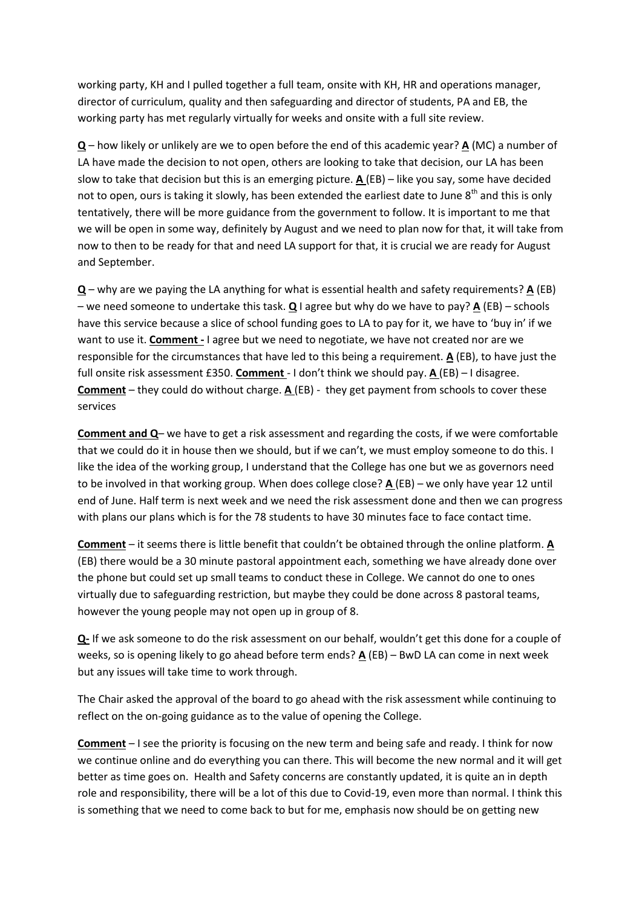working party, KH and I pulled together a full team, onsite with KH, HR and operations manager, director of curriculum, quality and then safeguarding and director of students, PA and EB, the working party has met regularly virtually for weeks and onsite with a full site review.

**Q** – how likely or unlikely are we to open before the end of this academic year? **A** (MC) a number of LA have made the decision to not open, others are looking to take that decision, our LA has been slow to take that decision but this is an emerging picture. **A** (EB) – like you say, some have decided not to open, ours is taking it slowly, has been extended the earliest date to June  $8<sup>th</sup>$  and this is only tentatively, there will be more guidance from the government to follow. It is important to me that we will be open in some way, definitely by August and we need to plan now for that, it will take from now to then to be ready for that and need LA support for that, it is crucial we are ready for August and September.

**Q** – why are we paying the LA anything for what is essential health and safety requirements? **A** (EB) – we need someone to undertake this task. **Q** I agree but why do we have to pay? **A** (EB) – schools have this service because a slice of school funding goes to LA to pay for it, we have to 'buy in' if we want to use it. **Comment -** I agree but we need to negotiate, we have not created nor are we responsible for the circumstances that have led to this being a requirement. **A** (EB), to have just the full onsite risk assessment £350. **Comment** - I don't think we should pay. **A** (EB) – I disagree. **Comment** – they could do without charge. **A** (EB) - they get payment from schools to cover these services

**Comment and Q**– we have to get a risk assessment and regarding the costs, if we were comfortable that we could do it in house then we should, but if we can't, we must employ someone to do this. I like the idea of the working group, I understand that the College has one but we as governors need to be involved in that working group. When does college close? **A** (EB) – we only have year 12 until end of June. Half term is next week and we need the risk assessment done and then we can progress with plans our plans which is for the 78 students to have 30 minutes face to face contact time.

**Comment** – it seems there is little benefit that couldn't be obtained through the online platform. **A** (EB) there would be a 30 minute pastoral appointment each, something we have already done over the phone but could set up small teams to conduct these in College. We cannot do one to ones virtually due to safeguarding restriction, but maybe they could be done across 8 pastoral teams, however the young people may not open up in group of 8.

**Q-** If we ask someone to do the risk assessment on our behalf, wouldn't get this done for a couple of weeks, so is opening likely to go ahead before term ends? **A** (EB) – BwD LA can come in next week but any issues will take time to work through.

The Chair asked the approval of the board to go ahead with the risk assessment while continuing to reflect on the on-going guidance as to the value of opening the College.

**Comment** – I see the priority is focusing on the new term and being safe and ready. I think for now we continue online and do everything you can there. This will become the new normal and it will get better as time goes on. Health and Safety concerns are constantly updated, it is quite an in depth role and responsibility, there will be a lot of this due to Covid-19, even more than normal. I think this is something that we need to come back to but for me, emphasis now should be on getting new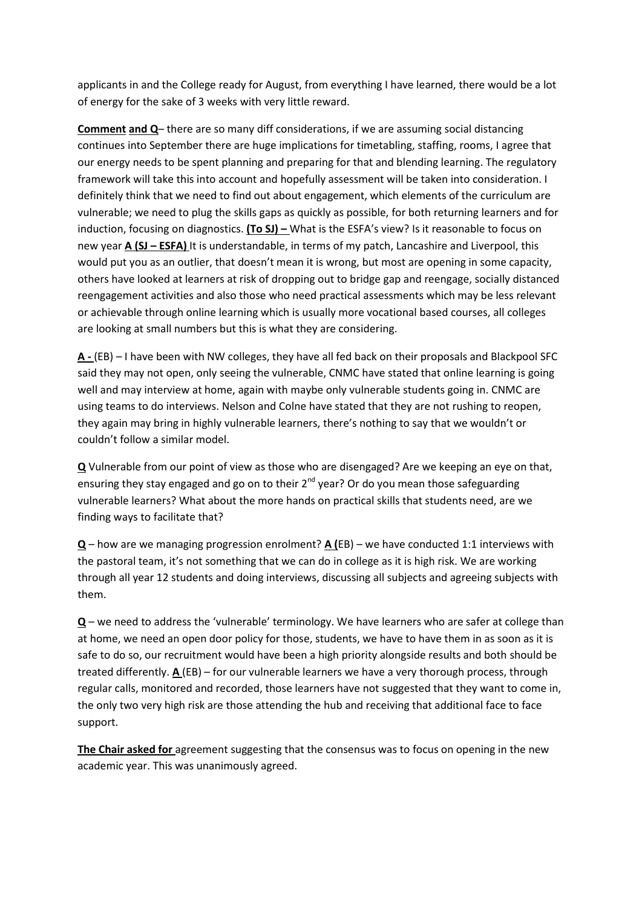applicants in and the College ready for August, from everything I have learned, there would be a lot of energy for the sake of 3 weeks with very little reward.

**Comment and Q**– there are so many diff considerations, if we are assuming social distancing continues into September there are huge implications for timetabling, staffing, rooms, I agree that our energy needs to be spent planning and preparing for that and blending learning. The regulatory framework will take this into account and hopefully assessment will be taken into consideration. I definitely think that we need to find out about engagement, which elements of the curriculum are vulnerable; we need to plug the skills gaps as quickly as possible, for both returning learners and for induction, focusing on diagnostics. **(To SJ) –** What is the ESFA's view? Is it reasonable to focus on new year **A (SJ – ESFA)** It is understandable, in terms of my patch, Lancashire and Liverpool, this would put you as an outlier, that doesn't mean it is wrong, but most are opening in some capacity, others have looked at learners at risk of dropping out to bridge gap and reengage, socially distanced reengagement activities and also those who need practical assessments which may be less relevant or achievable through online learning which is usually more vocational based courses, all colleges are looking at small numbers but this is what they are considering.

**A -** (EB) – I have been with NW colleges, they have all fed back on their proposals and Blackpool SFC said they may not open, only seeing the vulnerable, CNMC have stated that online learning is going well and may interview at home, again with maybe only vulnerable students going in. CNMC are using teams to do interviews. Nelson and Colne have stated that they are not rushing to reopen, they again may bring in highly vulnerable learners, there's nothing to say that we wouldn't or couldn't follow a similar model.

**Q** Vulnerable from our point of view as those who are disengaged? Are we keeping an eye on that, ensuring they stay engaged and go on to their 2<sup>nd</sup> year? Or do you mean those safeguarding vulnerable learners? What about the more hands on practical skills that students need, are we finding ways to facilitate that?

**Q** – how are we managing progression enrolment? **A (**EB) – we have conducted 1:1 interviews with the pastoral team, it's not something that we can do in college as it is high risk. We are working through all year 12 students and doing interviews, discussing all subjects and agreeing subjects with them.

**Q** – we need to address the 'vulnerable' terminology. We have learners who are safer at college than at home, we need an open door policy for those, students, we have to have them in as soon as it is safe to do so, our recruitment would have been a high priority alongside results and both should be treated differently. **A** (EB) – for our vulnerable learners we have a very thorough process, through regular calls, monitored and recorded, those learners have not suggested that they want to come in, the only two very high risk are those attending the hub and receiving that additional face to face support.

**The Chair asked for** agreement suggesting that the consensus was to focus on opening in the new academic year. This was unanimously agreed.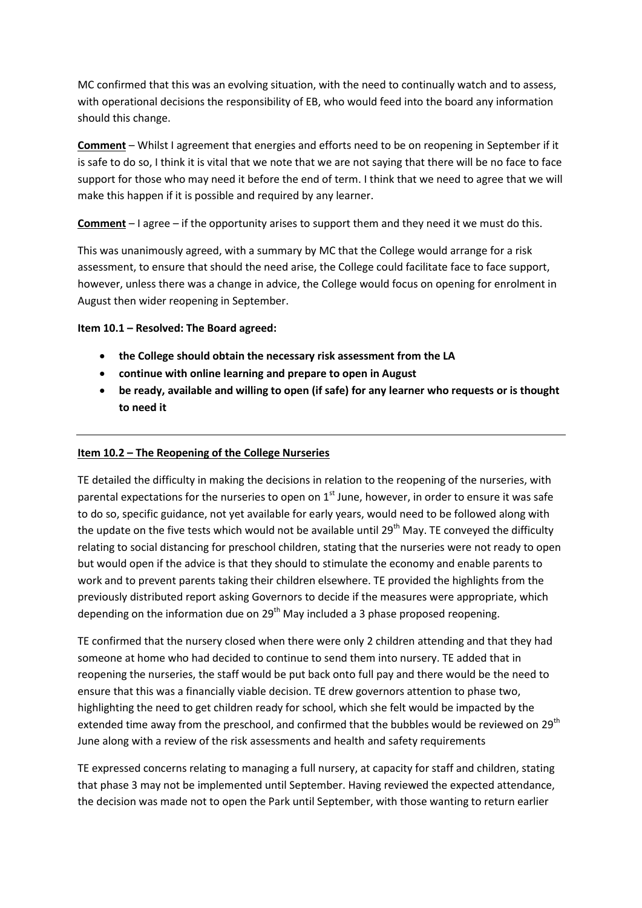MC confirmed that this was an evolving situation, with the need to continually watch and to assess, with operational decisions the responsibility of EB, who would feed into the board any information should this change.

**Comment** – Whilst I agreement that energies and efforts need to be on reopening in September if it is safe to do so, I think it is vital that we note that we are not saying that there will be no face to face support for those who may need it before the end of term. I think that we need to agree that we will make this happen if it is possible and required by any learner.

**Comment** – I agree – if the opportunity arises to support them and they need it we must do this.

This was unanimously agreed, with a summary by MC that the College would arrange for a risk assessment, to ensure that should the need arise, the College could facilitate face to face support, however, unless there was a change in advice, the College would focus on opening for enrolment in August then wider reopening in September.

#### **Item 10.1 – Resolved: The Board agreed:**

- **the College should obtain the necessary risk assessment from the LA**
- **continue with online learning and prepare to open in August**
- **be ready, available and willing to open (if safe) for any learner who requests or is thought to need it**

## **Item 10.2 – The Reopening of the College Nurseries**

TE detailed the difficulty in making the decisions in relation to the reopening of the nurseries, with parental expectations for the nurseries to open on  $1<sup>st</sup>$  June, however, in order to ensure it was safe to do so, specific guidance, not yet available for early years, would need to be followed along with the update on the five tests which would not be available until  $29<sup>th</sup>$  May. TE conveyed the difficulty relating to social distancing for preschool children, stating that the nurseries were not ready to open but would open if the advice is that they should to stimulate the economy and enable parents to work and to prevent parents taking their children elsewhere. TE provided the highlights from the previously distributed report asking Governors to decide if the measures were appropriate, which depending on the information due on  $29<sup>th</sup>$  May included a 3 phase proposed reopening.

TE confirmed that the nursery closed when there were only 2 children attending and that they had someone at home who had decided to continue to send them into nursery. TE added that in reopening the nurseries, the staff would be put back onto full pay and there would be the need to ensure that this was a financially viable decision. TE drew governors attention to phase two, highlighting the need to get children ready for school, which she felt would be impacted by the extended time away from the preschool, and confirmed that the bubbles would be reviewed on 29<sup>th</sup> June along with a review of the risk assessments and health and safety requirements

TE expressed concerns relating to managing a full nursery, at capacity for staff and children, stating that phase 3 may not be implemented until September. Having reviewed the expected attendance, the decision was made not to open the Park until September, with those wanting to return earlier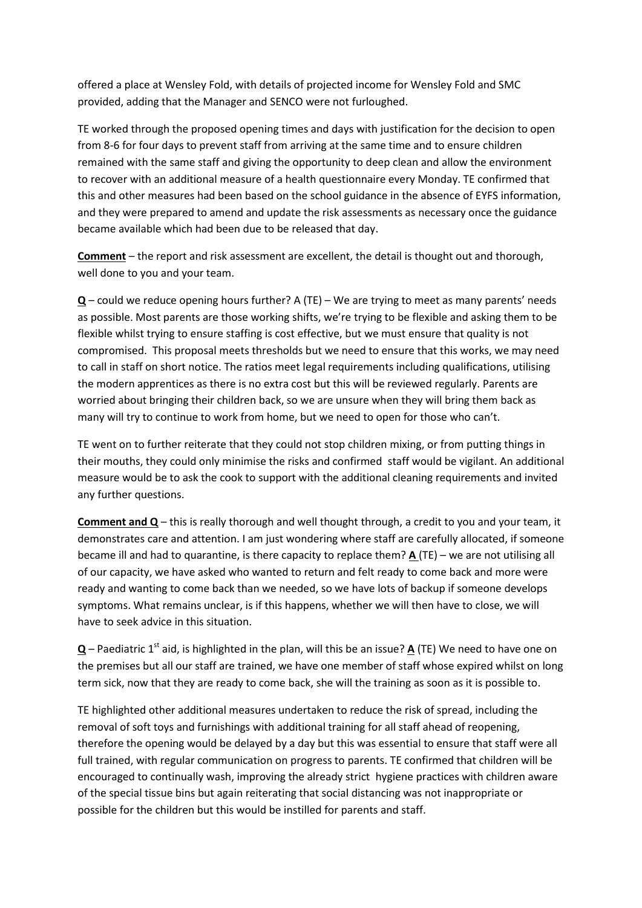offered a place at Wensley Fold, with details of projected income for Wensley Fold and SMC provided, adding that the Manager and SENCO were not furloughed.

TE worked through the proposed opening times and days with justification for the decision to open from 8-6 for four days to prevent staff from arriving at the same time and to ensure children remained with the same staff and giving the opportunity to deep clean and allow the environment to recover with an additional measure of a health questionnaire every Monday. TE confirmed that this and other measures had been based on the school guidance in the absence of EYFS information, and they were prepared to amend and update the risk assessments as necessary once the guidance became available which had been due to be released that day.

**Comment** – the report and risk assessment are excellent, the detail is thought out and thorough, well done to you and your team.

**Q** – could we reduce opening hours further? A (TE) – We are trying to meet as many parents' needs as possible. Most parents are those working shifts, we're trying to be flexible and asking them to be flexible whilst trying to ensure staffing is cost effective, but we must ensure that quality is not compromised. This proposal meets thresholds but we need to ensure that this works, we may need to call in staff on short notice. The ratios meet legal requirements including qualifications, utilising the modern apprentices as there is no extra cost but this will be reviewed regularly. Parents are worried about bringing their children back, so we are unsure when they will bring them back as many will try to continue to work from home, but we need to open for those who can't.

TE went on to further reiterate that they could not stop children mixing, or from putting things in their mouths, they could only minimise the risks and confirmed staff would be vigilant. An additional measure would be to ask the cook to support with the additional cleaning requirements and invited any further questions.

**Comment and Q** – this is really thorough and well thought through, a credit to you and your team, it demonstrates care and attention. I am just wondering where staff are carefully allocated, if someone became ill and had to quarantine, is there capacity to replace them? **A** (TE) – we are not utilising all of our capacity, we have asked who wanted to return and felt ready to come back and more were ready and wanting to come back than we needed, so we have lots of backup if someone develops symptoms. What remains unclear, is if this happens, whether we will then have to close, we will have to seek advice in this situation.

**Q** – Paediatric 1<sup>st</sup> aid, is highlighted in the plan, will this be an issue?  $\underline{A}$  (TE) We need to have one on the premises but all our staff are trained, we have one member of staff whose expired whilst on long term sick, now that they are ready to come back, she will the training as soon as it is possible to.

TE highlighted other additional measures undertaken to reduce the risk of spread, including the removal of soft toys and furnishings with additional training for all staff ahead of reopening, therefore the opening would be delayed by a day but this was essential to ensure that staff were all full trained, with regular communication on progress to parents. TE confirmed that children will be encouraged to continually wash, improving the already strict hygiene practices with children aware of the special tissue bins but again reiterating that social distancing was not inappropriate or possible for the children but this would be instilled for parents and staff.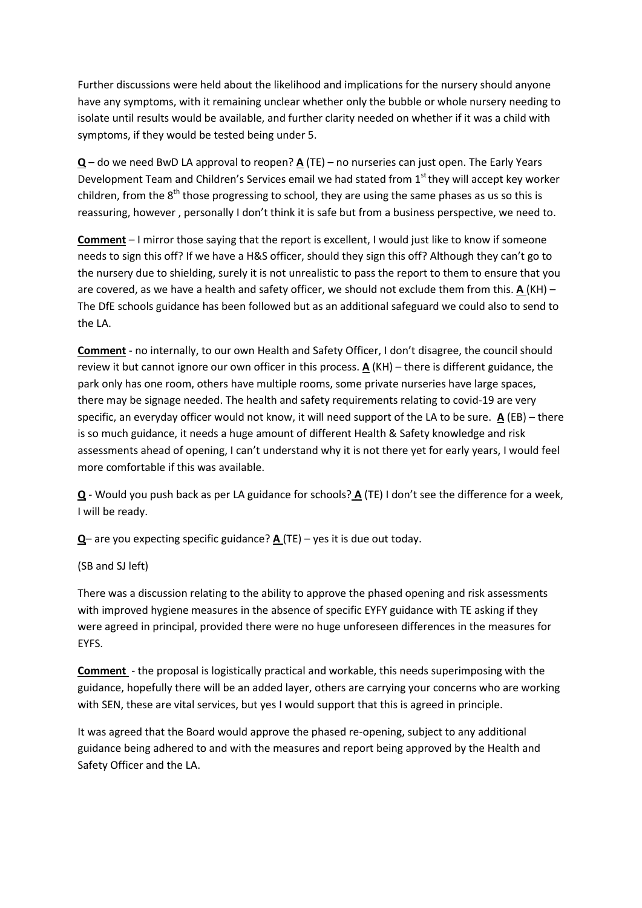Further discussions were held about the likelihood and implications for the nursery should anyone have any symptoms, with it remaining unclear whether only the bubble or whole nursery needing to isolate until results would be available, and further clarity needed on whether if it was a child with symptoms, if they would be tested being under 5.

**Q** – do we need BwD LA approval to reopen? **A** (TE) – no nurseries can just open. The Early Years Development Team and Children's Services email we had stated from 1<sup>st</sup> they will accept key worker children, from the  $8<sup>th</sup>$  those progressing to school, they are using the same phases as us so this is reassuring, however , personally I don't think it is safe but from a business perspective, we need to.

**Comment** – I mirror those saying that the report is excellent, I would just like to know if someone needs to sign this off? If we have a H&S officer, should they sign this off? Although they can't go to the nursery due to shielding, surely it is not unrealistic to pass the report to them to ensure that you are covered, as we have a health and safety officer, we should not exclude them from this. **A** (KH) – The DfE schools guidance has been followed but as an additional safeguard we could also to send to the LA.

**Comment** - no internally, to our own Health and Safety Officer, I don't disagree, the council should review it but cannot ignore our own officer in this process. **A** (KH) – there is different guidance, the park only has one room, others have multiple rooms, some private nurseries have large spaces, there may be signage needed. The health and safety requirements relating to covid-19 are very specific, an everyday officer would not know, it will need support of the LA to be sure. **A** (EB) – there is so much guidance, it needs a huge amount of different Health & Safety knowledge and risk assessments ahead of opening, I can't understand why it is not there yet for early years, I would feel more comfortable if this was available.

**Q** - Would you push back as per LA guidance for schools? **A** (TE) I don't see the difference for a week, I will be ready.

**Q**– are you expecting specific guidance? **A** (TE) – yes it is due out today.

(SB and SJ left)

There was a discussion relating to the ability to approve the phased opening and risk assessments with improved hygiene measures in the absence of specific EYFY guidance with TE asking if they were agreed in principal, provided there were no huge unforeseen differences in the measures for EYFS.

**Comment** - the proposal is logistically practical and workable, this needs superimposing with the guidance, hopefully there will be an added layer, others are carrying your concerns who are working with SEN, these are vital services, but yes I would support that this is agreed in principle.

It was agreed that the Board would approve the phased re-opening, subject to any additional guidance being adhered to and with the measures and report being approved by the Health and Safety Officer and the LA.